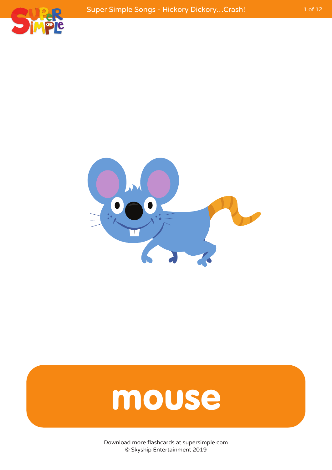



#### mouse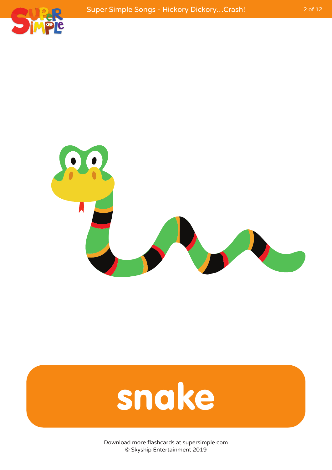



#### snake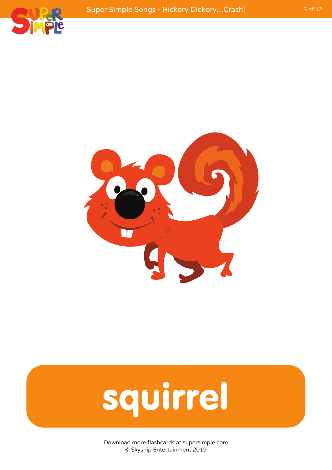



## squirrel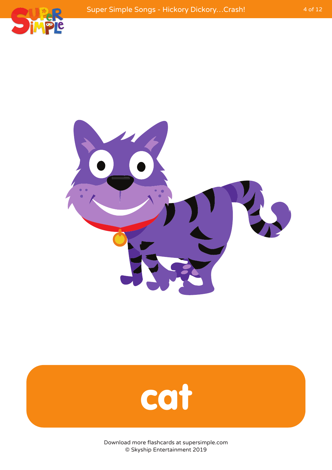



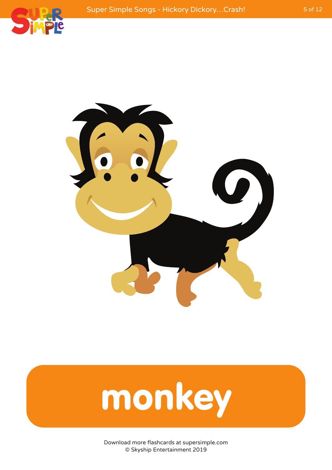



# monkey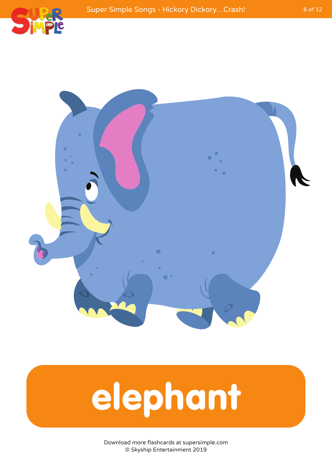



## elephant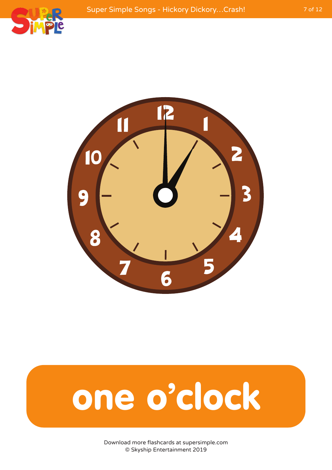



#### one o'clock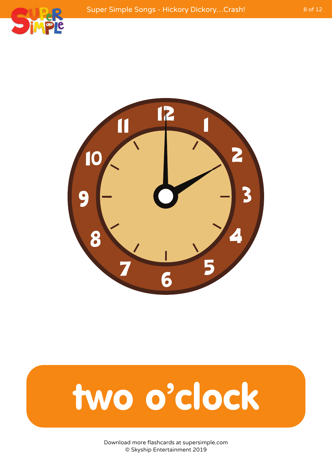



#### two o'clock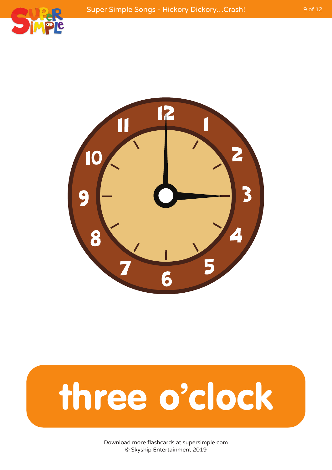



#### three o'clock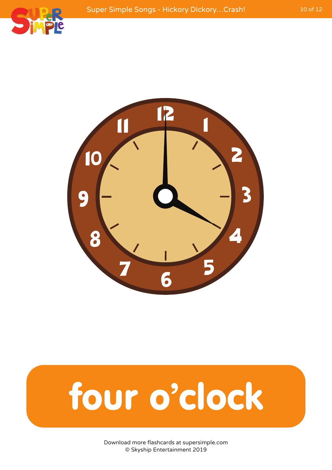



## four o'clock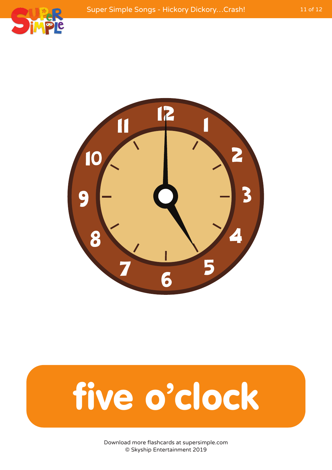



## five o'clock